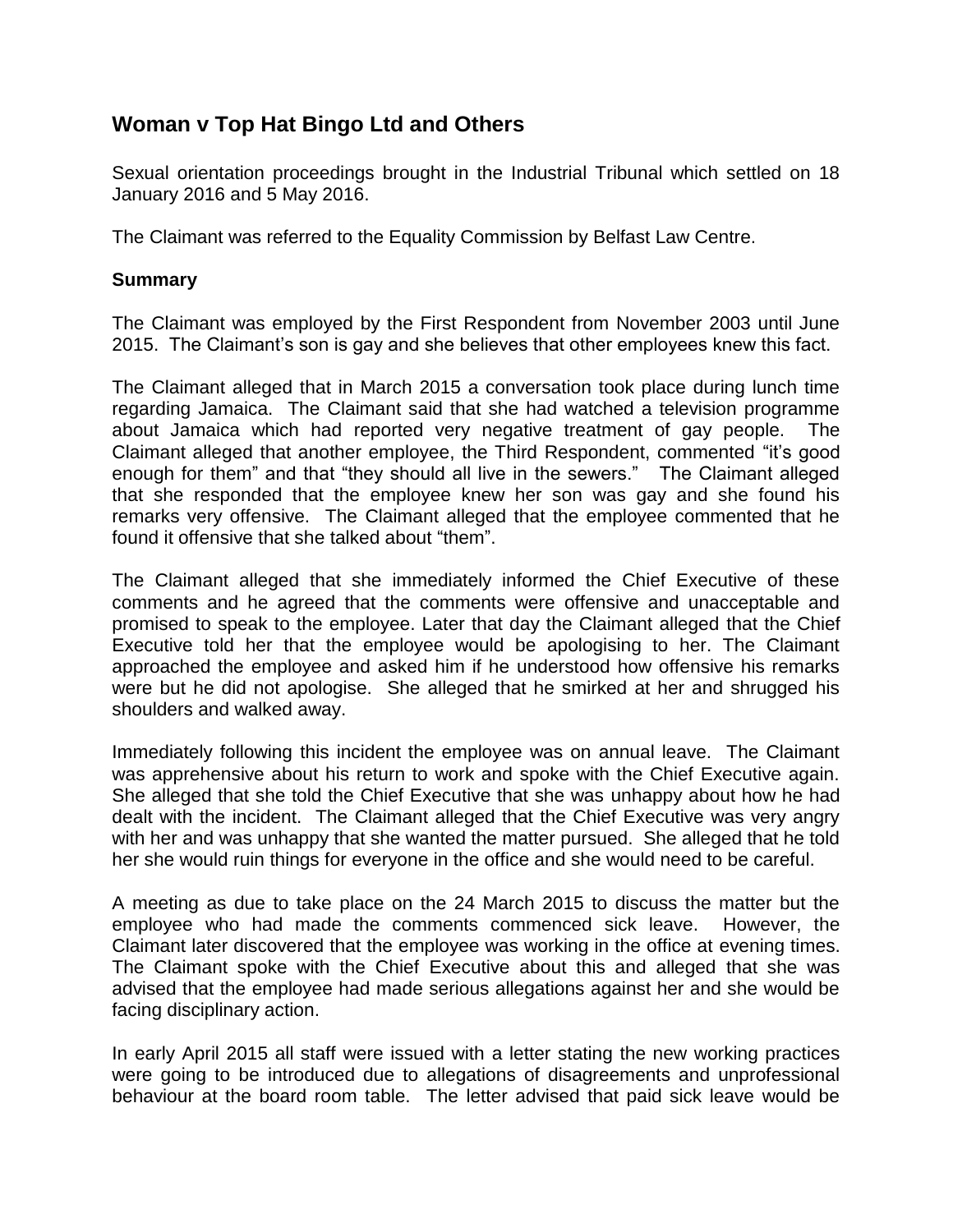## **Woman v Top Hat Bingo Ltd and Others**

Sexual orientation proceedings brought in the Industrial Tribunal which settled on 18 January 2016 and 5 May 2016.

The Claimant was referred to the Equality Commission by Belfast Law Centre.

## **Summary**

The Claimant was employed by the First Respondent from November 2003 until June 2015. The Claimant's son is gay and she believes that other employees knew this fact.

The Claimant alleged that in March 2015 a conversation took place during lunch time regarding Jamaica. The Claimant said that she had watched a television programme about Jamaica which had reported very negative treatment of gay people. The Claimant alleged that another employee, the Third Respondent, commented "it's good enough for them" and that "they should all live in the sewers." The Claimant alleged that she responded that the employee knew her son was gay and she found his remarks very offensive. The Claimant alleged that the employee commented that he found it offensive that she talked about "them".

The Claimant alleged that she immediately informed the Chief Executive of these comments and he agreed that the comments were offensive and unacceptable and promised to speak to the employee. Later that day the Claimant alleged that the Chief Executive told her that the employee would be apologising to her. The Claimant approached the employee and asked him if he understood how offensive his remarks were but he did not apologise. She alleged that he smirked at her and shrugged his shoulders and walked away.

Immediately following this incident the employee was on annual leave. The Claimant was apprehensive about his return to work and spoke with the Chief Executive again. She alleged that she told the Chief Executive that she was unhappy about how he had dealt with the incident. The Claimant alleged that the Chief Executive was very angry with her and was unhappy that she wanted the matter pursued. She alleged that he told her she would ruin things for everyone in the office and she would need to be careful.

A meeting as due to take place on the 24 March 2015 to discuss the matter but the employee who had made the comments commenced sick leave. However, the Claimant later discovered that the employee was working in the office at evening times. The Claimant spoke with the Chief Executive about this and alleged that she was advised that the employee had made serious allegations against her and she would be facing disciplinary action.

In early April 2015 all staff were issued with a letter stating the new working practices were going to be introduced due to allegations of disagreements and unprofessional behaviour at the board room table. The letter advised that paid sick leave would be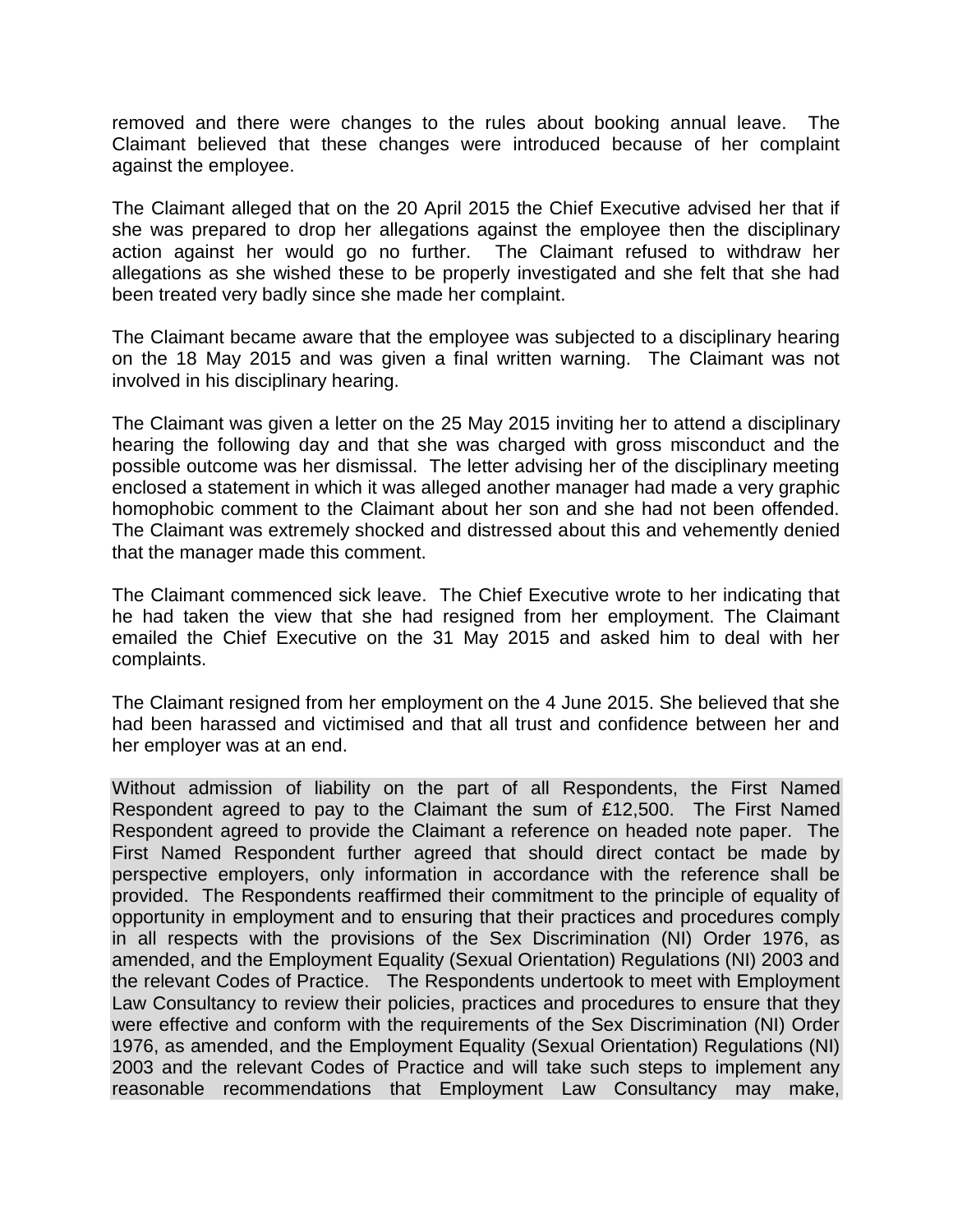removed and there were changes to the rules about booking annual leave. The Claimant believed that these changes were introduced because of her complaint against the employee.

The Claimant alleged that on the 20 April 2015 the Chief Executive advised her that if she was prepared to drop her allegations against the employee then the disciplinary action against her would go no further. The Claimant refused to withdraw her allegations as she wished these to be properly investigated and she felt that she had been treated very badly since she made her complaint.

The Claimant became aware that the employee was subjected to a disciplinary hearing on the 18 May 2015 and was given a final written warning. The Claimant was not involved in his disciplinary hearing.

The Claimant was given a letter on the 25 May 2015 inviting her to attend a disciplinary hearing the following day and that she was charged with gross misconduct and the possible outcome was her dismissal. The letter advising her of the disciplinary meeting enclosed a statement in which it was alleged another manager had made a very graphic homophobic comment to the Claimant about her son and she had not been offended. The Claimant was extremely shocked and distressed about this and vehemently denied that the manager made this comment.

The Claimant commenced sick leave. The Chief Executive wrote to her indicating that he had taken the view that she had resigned from her employment. The Claimant emailed the Chief Executive on the 31 May 2015 and asked him to deal with her complaints.

The Claimant resigned from her employment on the 4 June 2015. She believed that she had been harassed and victimised and that all trust and confidence between her and her employer was at an end.

Without admission of liability on the part of all Respondents, the First Named Respondent agreed to pay to the Claimant the sum of £12,500. The First Named Respondent agreed to provide the Claimant a reference on headed note paper. The First Named Respondent further agreed that should direct contact be made by perspective employers, only information in accordance with the reference shall be provided. The Respondents reaffirmed their commitment to the principle of equality of opportunity in employment and to ensuring that their practices and procedures comply in all respects with the provisions of the Sex Discrimination (NI) Order 1976, as amended, and the Employment Equality (Sexual Orientation) Regulations (NI) 2003 and the relevant Codes of Practice. The Respondents undertook to meet with Employment Law Consultancy to review their policies, practices and procedures to ensure that they were effective and conform with the requirements of the Sex Discrimination (NI) Order 1976, as amended, and the Employment Equality (Sexual Orientation) Regulations (NI) 2003 and the relevant Codes of Practice and will take such steps to implement any reasonable recommendations that Employment Law Consultancy may make,